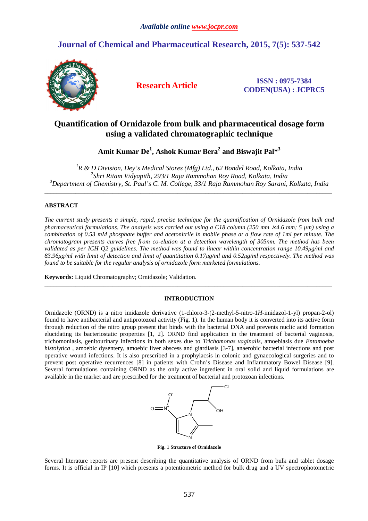# **Journal of Chemical and Pharmaceutical Research, 2015, 7(5): 537-542**



**Research Article ISSN : 0975-7384 CODEN(USA) : JCPRC5**

# **Quantification of Ornidazole from bulk and pharmaceutical dosage form using a validated chromatographic technique**

**Amit Kumar De<sup>1</sup> , Ashok Kumar Bera<sup>2</sup> and Biswajit Pal\*<sup>3</sup>**

*<sup>1</sup>R & D Division, Dey's Medical Stores (Mfg) Ltd., 62 Bondel Road, Kolkata, India 2 Shri Ritam Vidyapith, 293/1 Raja Rammohan Roy Road, Kolkata, India <sup>3</sup>Department of Chemistry, St. Paul's C. M. College, 33/1 Raja Rammohan Roy Sarani, Kolkata, India* 

\_\_\_\_\_\_\_\_\_\_\_\_\_\_\_\_\_\_\_\_\_\_\_\_\_\_\_\_\_\_\_\_\_\_\_\_\_\_\_\_\_\_\_\_\_\_\_\_\_\_\_\_\_\_\_\_\_\_\_\_\_\_\_\_\_\_\_\_\_\_\_\_\_\_\_\_\_\_\_\_\_\_\_\_\_\_\_\_\_\_\_\_\_

# **ABSTRACT**

*The current study presents a simple, rapid, precise technique for the quantification of Ornidazole from bulk and pharmaceutical formulations. The analysis was carried out using a C18 column (250 mm*  $\times$  *4.6 mm; 5 um) using a combination of 0.53 mM phosphate buffer and acetonitrile in mobile phase at a flow rate of 1ml per minute. The chromatogram presents curves free from co-elution at a detection wavelength of 305nm. The method has been validated as per ICH Q2 guidelines. The method was found to linear within concentration range 10.49µg/ml and 83.96µg/ml with limit of detection and limit of quantitation 0.17µg/ml and 0.52µg/ml respectively. The method was found to be suitable for the regular analysis of ornidazole form marketed formulations.* 

**Keywords:** Liquid Chromatography; Ornidazole; Validation.

# **INTRODUCTION**

\_\_\_\_\_\_\_\_\_\_\_\_\_\_\_\_\_\_\_\_\_\_\_\_\_\_\_\_\_\_\_\_\_\_\_\_\_\_\_\_\_\_\_\_\_\_\_\_\_\_\_\_\_\_\_\_\_\_\_\_\_\_\_\_\_\_\_\_\_\_\_\_\_\_\_\_\_\_\_\_\_\_\_\_\_\_\_\_\_\_\_\_\_

Ornidazole (ORND) is a nitro imidazole derivative (1-chloro-3-(2-methyl-5-nitro-1*H*-imidazol-1-yl) propan-2-ol) found to have antibacterial and antiprotozoal activity (Fig. 1). In the human body it is converted into its active form through reduction of the nitro group present that binds with the bacterial DNA and prevents nuclic acid formation elucidating its bacteriostatic properties [1, 2]. ORND find application in the treatment of bacterial vaginosis, trichomoniasis, genitourinary infections in both sexes due to *Trichomonas vaginalis*, amoebiasis due *Entamoeba histolytica*, amoebic dysentery, amoebic liver abscess and giardiasis [3-7], anaerobic bacterial infections and post operative wound infections. It is also prescribed in a prophylacsis in colonic and gynaecological surgeries and to prevent post operative recurrences [8] in patients with Crohn's Disease and Inflammatory Bowel Disease [9]. Several formulations containing ORND as the only active ingredient in oral solid and liquid formulations are available in the market and are prescribed for the treatment of bacterial and protozoan infections.



**Fig. 1 Structure of Ornidazole** 

Several literature reports are present describing the quantitative analysis of ORND from bulk and tablet dosage forms. It is official in IP [10] which presents a potentiometric method for bulk drug and a UV spectrophotometric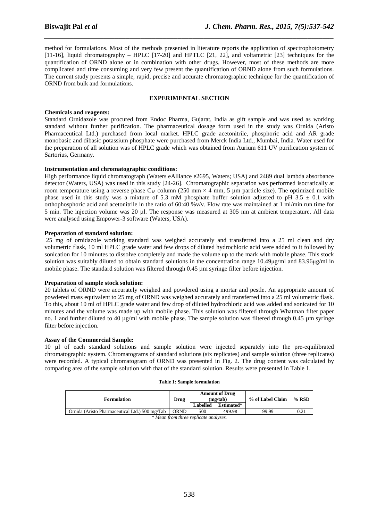method for formulations. Most of the methods presented in literature reports the application of spectrophotometry [11-16], liquid chromatography – HPLC [17-20] and HPTLC [21, 22], and voltametric [23] techniques for the quantification of ORND alone or in combination with other drugs. However, most of these methods are more complicated and time consuming and very few present the quantification of ORND alone from such formulations. The current study presents a simple, rapid, precise and accurate chromatographic technique for the quantification of ORND from bulk and formulations.

*\_\_\_\_\_\_\_\_\_\_\_\_\_\_\_\_\_\_\_\_\_\_\_\_\_\_\_\_\_\_\_\_\_\_\_\_\_\_\_\_\_\_\_\_\_\_\_\_\_\_\_\_\_\_\_\_\_\_\_\_\_\_\_\_\_\_\_\_\_\_\_\_\_\_\_\_\_\_*

# **EXPERIMENTAL SECTION**

# **Chemicals and reagents:**

Standard Ornidazole was procured from Endoc Pharma, Gujarat, India as gift sample and was used as working standard without further purification. The pharmaceutical dosage form used in the study was Ornida (Aristo Pharmaceutical Ltd.) purchased from local market. HPLC grade acetonitrile, phosphoric acid and AR grade monobasic and dibasic potassium phosphate were purchased from Merck India Ltd., Mumbai, India. Water used for the preparation of all solution was of HPLC grade which was obtained from Aurium 611 UV purification system of Sartorius, Germany.

# **Instrumentation and chromatographic conditions:**

High performance liquid chromatograph (Waters eAlliance e2695, Waters; USA) and 2489 dual lambda absorbance detector (Waters, USA) was used in this study [24-26]. Chromatographic separation was performed isocratically at room temperature using a reverse phase  $C_{18}$  column (250 mm  $\times$  4 mm, 5 µm particle size). The optimized mobile phase used in this study was a mixture of 5.3 mM phosphate buffer solution adjusted to pH  $3.5 \pm 0.1$  with orthophosphoric acid and acetonitrile in the ratio of 60:40 %v/v. Flow rate was maintained at 1 ml/min run time for 5 min. The injection volume was 20 µl. The response was measured at 305 nm at ambient temperature. All data were analysed using Empower-3 software (Waters, USA).

# **Preparation of standard solution:**

 25 mg of ornidazole working standard was weighed accurately and transferred into a 25 ml clean and dry volumetric flask, 10 ml HPLC grade water and few drops of diluted hydrochloric acid were added to it followed by sonication for 10 minutes to dissolve completely and made the volume up to the mark with mobile phase. This stock solution was suitably diluted to obtain standard solutions in the concentration range 10.49µg/ml and 83.96µg/ml in mobile phase. The standard solution was filtered through 0.45  $\mu$ m syringe filter before injection.

### **Preparation of sample stock solution:**

20 tablets of ORND were accurately weighed and powdered using a mortar and pestle. An appropriate amount of powdered mass equivalent to 25 mg of ORND was weighed accurately and transferred into a 25 ml volumetric flask. To this, about 10 ml of HPLC grade water and few drop of diluted hydrochloric acid was added and sonicated for 10 minutes and the volume was made up with mobile phase. This solution was filtered through Whatman filter paper no. 1 and further diluted to 40  $\mu$ g/ml with mobile phase. The sample solution was filtered through 0.45  $\mu$ m syringe filter before injection.

### **Assay of the Commercial Sample:**

10 µl of each standard solutions and sample solution were injected separately into the pre-equilibrated chromatographic system. Chromatograms of standard solutions (six replicates) and sample solution (three replicates) were recorded. A typical chromatogram of ORND was presented in Fig. 2. The drug content was calculated by comparing area of the sample solution with that of the standard solution. Results were presented in Table 1.

| <b>Formulation</b>                             | Drug        | <b>Amount of Drug</b><br>(mz/tab) |            | % of Label Claim | $%$ RSD |  |  |
|------------------------------------------------|-------------|-----------------------------------|------------|------------------|---------|--|--|
|                                                |             | <b>Labelled</b>                   | Estimated* |                  |         |  |  |
| Ornida (Aristo Pharmaceutical Ltd.) 500 mg/Tab | <b>ORND</b> | 500                               | 499.98     | 99.99            | 0.21    |  |  |
|                                                |             |                                   |            |                  |         |  |  |

# **Table 1: Sample formulation**

*\* Mean from three replicate analyses.*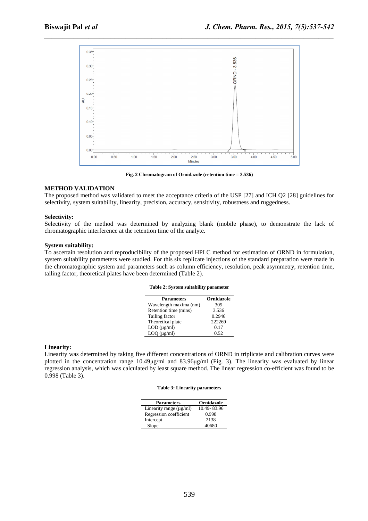

*\_\_\_\_\_\_\_\_\_\_\_\_\_\_\_\_\_\_\_\_\_\_\_\_\_\_\_\_\_\_\_\_\_\_\_\_\_\_\_\_\_\_\_\_\_\_\_\_\_\_\_\_\_\_\_\_\_\_\_\_\_\_\_\_\_\_\_\_\_\_\_\_\_\_\_\_\_\_*

**Fig. 2 Chromatogram of Ornidazole (retention time = 3.536)**

# **METHOD VALIDATION**

The proposed method was validated to meet the acceptance criteria of the USP [27] and ICH Q2 [28] guidelines for selectivity, system suitability, linearity, precision, accuracy, sensitivity, robustness and ruggedness.

### **Selectivity:**

Selectivity of the method was determined by analyzing blank (mobile phase), to demonstrate the lack of chromatographic interference at the retention time of the analyte.

## **System suitability:**

To ascertain resolution and reproducibility of the proposed HPLC method for estimation of ORND in formulation, system suitability parameters were studied. For this six replicate injections of the standard preparation were made in the chromatographic system and parameters such as column efficiency, resolution, peak asymmetry, retention time, tailing factor, theoretical plates have been determined (Table 2).

### **Table 2: System suitability parameter**

| <b>Parameters</b>      | <b>Ornidazole</b> |
|------------------------|-------------------|
| Wavelength maxima (nm) | 305               |
| Retention time (mins)  | 3.536             |
| Tailing factor         | 0.2946            |
| Theoretical plate      | 222269            |
| $LOD$ ( $\mu$ g/ml)    | 0.17              |
| $LOQ$ ( $\mu$ g/ml)    | 0.52              |
|                        |                   |

### **Linearity:**

Linearity was determined by taking five different concentrations of ORND in triplicate and calibration curves were plotted in the concentration range 10.49µg/ml and 83.96µg/ml (Fig. 3). The linearity was evaluated by linear regression analysis, which was calculated by least square method. The linear regression co-efficient was found to be 0.998 (Table 3).

#### **Table 3: Linearity parameters**

| <b>Parameters</b>            | <b>Ornidazole</b> |
|------------------------------|-------------------|
| Linearity range $(\mu g/ml)$ | 10.49-83.96       |
| Regression coefficient       | 0.998             |
| Intercept                    | 2138              |
| Slope                        | 40680             |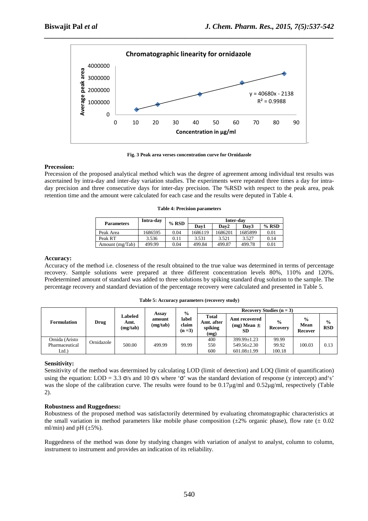

**Fig. 3 Peak area verses concentration curve for Ornidazole**

# **Precession:**

Precession of the proposed analytical method which was the degree of agreement among individual test results was ascertained by intra-day and inter-day variation studies. The experiments were repeated three times a day for intraday precision and three consecutive days for inter-day precision. The %RSD with respect to the peak area, peak retention time and the amount were calculated for each case and the results were deputed in Table 4.

|  |  |  |  | <b>Table 4: Precision parameters</b> |
|--|--|--|--|--------------------------------------|
|--|--|--|--|--------------------------------------|

| <b>Parameters</b> | Intra-day | $%$ RSD | Inter-dav |         |         |         |  |
|-------------------|-----------|---------|-----------|---------|---------|---------|--|
|                   |           |         | Dav1      | Dav2    | Dav3    | $%$ RSD |  |
| Peak Area         | 1686595   | 0.04    | 1686119   | 1686201 | 1685899 | 0.01    |  |
| Peak RT           | 3.536     | 0.11    | 3.531     | 3.521   | 3.527   | 0.14    |  |
| Amount (mg/Tab)   | 499.99    | 0.04    | 499.84    | 499.87  | 499.78  | 0.01    |  |

# **Accuracy:**

Accuracy of the method i.e. closeness of the result obtained to the true value was determined in terms of percentage recovery. Sample solutions were prepared at three different concentration levels 80%, 110% and 120%. Predetermined amount of standard was added to three solutions by spiking standard drug solution to the sample. The percentage recovery and standard deviation of the percentage recovery were calculated and presented in Table 5.

**Table 5: Accuracy parameters (recovery study)** 

| <b>Formulation</b>                       | Drug       | Labeled<br>Amt.<br>(mg/tab) | Assay<br>amount<br>(mg/tab) | $\frac{0}{0}$<br>label<br>claim<br>$(n=3)$ | Recovery Studies $(n = 3)$                    |                                                 |                                  |                                         |                             |
|------------------------------------------|------------|-----------------------------|-----------------------------|--------------------------------------------|-----------------------------------------------|-------------------------------------------------|----------------------------------|-----------------------------------------|-----------------------------|
|                                          |            |                             |                             |                                            | <b>Total</b><br>Amt. after<br>spiking<br>(mg) | Amt recovered<br>$(mg)$ Mean $\pm$<br><b>SD</b> | $\frac{6}{9}$<br><b>Recovery</b> | $\frac{0}{0}$<br><b>Mean</b><br>Recover | $\frac{0}{0}$<br><b>RSD</b> |
| Ornida (Aristo<br>Pharmaceutical<br>Ltd. | Ornidazole | 500.00                      | 499.99                      | 99.99                                      | 400<br>550<br>600                             | 399.99±1.23<br>549.56±2.30<br>$601.08 \pm 1.99$ | 99.99<br>99.92<br>100.18         | 100.03                                  | 0.13                        |

# **Sensitivity:**

Sensitivity of the method was determined by calculating LOD (limit of detection) and LOQ (limit of quantification) using the equation: LOD = 3.3  $\sigma$ /s and 10  $\sigma$ /s where ' $\sigma$ ' was the standard deviation of response (y intercept) and's' was the slope of the calibration curve. The results were found to be 0.17µg/ml and 0.52µg/ml, respectively (Table 2).

# **Robustness and Ruggedness:**

Robustness of the proposed method was satisfactorily determined by evaluating chromatographic characteristics at the small variation in method parameters like mobile phase composition ( $\pm 2\%$  organic phase), flow rate ( $\pm 0.02$ ml/min) and pH  $(\pm 5\%)$ .

Ruggedness of the method was done by studying changes with variation of analyst to analyst, column to column, instrument to instrument and provides an indication of its reliability.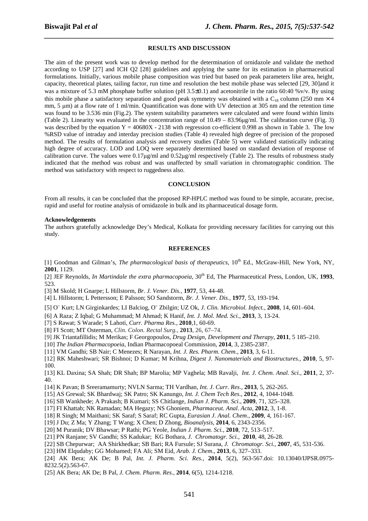#### **RESULTS AND DISCUSSION**

*\_\_\_\_\_\_\_\_\_\_\_\_\_\_\_\_\_\_\_\_\_\_\_\_\_\_\_\_\_\_\_\_\_\_\_\_\_\_\_\_\_\_\_\_\_\_\_\_\_\_\_\_\_\_\_\_\_\_\_\_\_\_\_\_\_\_\_\_\_\_\_\_\_\_\_\_\_\_*

The aim of the present work was to develop method for the determination of ornidazole and validate the method according to USP [27] and ICH Q2 [28] guidelines and applying the same for its estimation in pharmaceutical formulations. Initially, various mobile phase composition was tried but based on peak parameters like area, height, capacity, theoretical plates, tailing factor, run time and resolution the best mobile phase was selected [29, 30]and it was a mixture of 5.3 mM phosphate buffer solution (pH 3.5±0.1) and acetonitrile in the ratio 60:40 %v/v. By using this mobile phase a satisfactory separation and good peak symmetry was obtained with a  $C_{18}$  column (250 mm  $\times$  4 mm, 5 um) at a flow rate of 1 ml/min. Quantification was done with UV detection at 305 nm and the retention time was found to be 3.536 min (Fig.2). The system suitability parameters were calculated and were found within limits (Table 2). Linearity was evaluated in the concentration range of 10.49 – 83.96µg/ml. The calibration curve (Fig. 3) was described by the equation  $Y = 40680X - 2138$  with regression co-efficient 0.998 as shown in Table 3. The low %RSD value of intraday and interday precision studies (Table 4) revealed high degree of precision of the proposed method. The results of formulation analysis and recovery studies (Table 5) were validated statistically indicating high degree of accuracy. LOD and LOQ were separately determined based on standard deviation of response of calibration curve. The values were 0.17µg/ml and 0.52µg/ml respectively (Table 2). The results of robustness study indicated that the method was robust and was unaffected by small variation in chromatographic condition. The method was satisfactory with respect to ruggedness also.

#### **CONCLUSION**

From all results, it can be concluded that the proposed RP-HPLC method was found to be simple, accurate, precise, rapid and useful for routine analysis of ornidazole in bulk and its pharmaceutical dosage form.

### **Acknowledgements**

The authors gratefully acknowledge Dey's Medical, Kolkata for providing necessary facilities for carrying out this study.

#### **REFERENCES**

[1] Goodman and Gilman's, *The pharmacological basis of therapeutics*, 10<sup>th</sup> Ed., McGraw-Hill, New York, NY, **2001**, 1129.

[2] JEF Reynolds, *In Martindale the extra pharmacopoeia*,  $30<sup>th</sup>$  Ed, The Pharmaceutical Press, London, UK, 1993, 523.

[3] M Skold; H Gnarpe; L Hillstorm*, Br. J. Vener. Dis.,* **1977**, 53, 44-48.

[4] L Hillstorm; L Pettersson; E Palsson; SO Sandstorm, *Br. J. Vener. Dis.,* **1977**, 53, 193-194.

[5] O¨ Kurt; LN Girginkardes; LI Balciog, O¨ Zbilgin; UZ Ok, *J. Clin. Microbiol. Infect.*, **2008**, 14, 601–604.

[6] A Raza; Z Iqbal; G Muhammad; M Ahmad; K Hanif, *Int. J. Mol. Med. Sci.*, **2013**, 3, 13-24.

- [7] S Rawat; S Warade; S Lahoti, *Curr. Pharma Res.*, **2010**,1, 60-69.
- [8] FI Scott; MT Osterman, *Clin. Colon. Rectal Surg.,* **2013**, 26, 67–74.
- [9] JK Triantafillidis; M Merikas; F Georgopoulos, *Drug Design, Development and Therapy*, **2011**, 5 185–210.

[10] *The Indian Pharmacopoeia*, Indian Pharmacopoeal Commission, **2014**, 3, 2385-2387.

[11] VM Gandhi; SB Nair; C Menezes; R Narayan, *Int. J. Res. Pharm. Chem.*, **2013**, 3, 6-11.

[12] RK Maheshwari; SR Bishnoi; D Kumar; M Krihna, *Digest J. Nanomaterials and Biostructures.,* **2010**, 5, 97- 100.

[13] KL Daxina; SA Shah; DR Shah; BP Marolia; MP Vaghela; MB Ravalji, *Int. J. Chem. Anal. Sci.*, **2011**, 2, 37- 40.

[14] K Pavan; B Sreeramamurty; NVLN Sarma; TH Vardhan, *Int. J. Curr. Res*., **2013**, 5, 262-265.

[15] AS Grewal; SK Bhardwaj; SK Patro; SK Kanungo, *Int. J. Chem Tech Res*., **2012**, 4, 1044-1048.

[16] SB Wankhede; A Prakash; B Kumari; SS Chitlange, *Indian J. Pharm. Sci*., **2009**, 71, 325–328.

[17] FI Khattab; NK Ramadan; MA Hegazy; NS Ghoniem, *Pharmaceut. Anal. Acta,* **2012**, 3, 1-8.

[18] R Singh; M Maithani; SK Saraf; S Saraf; RC Gupta, *Eurasian J. Anal. Chem*., **2009**, 4, 161-167.

[19] J Du; Z Ma; Y Zhang; T Wang; X Chen; D Zhong, *Bioanalysis*, **2014**, 6, 2343-2356.

[20] M Puranik; DV Bhawsar; P Rathi; PG Yeole, *Indian J. Pharm. Sci.*, **2010**, 72, 513–517.

[21] PN Ranjane; SV Gandhi; SS Kadukar; KG Bothara, *J. Chromatogr. Sci.,* **2010**, 48, 26-28.

- [22] SB Chepurwar; AA Shirkhedkar; SB Bari; RA Fursule; SJ Surana, *J. Chromatogr. Sci.,* **2007**, 45, 531-536.
- [23] HM Elqudaby; GG Mohamed; FA Ali; SM Eid, *Arab. J. Chem*., **2013**, 6, 327–333.

[24] AK Bera; AK De; B Pal, *Int. J. Pharm. Sci. Res.,* **2014**, 5(2), 563-567.doi: 10.13040/IJPSR.0975- 8232.5(2).563-67.

[25] AK Bera; AK De; B Pal, *J. Chem. Pharm. Res.,* **2014**, 6(5), 1214-1218.